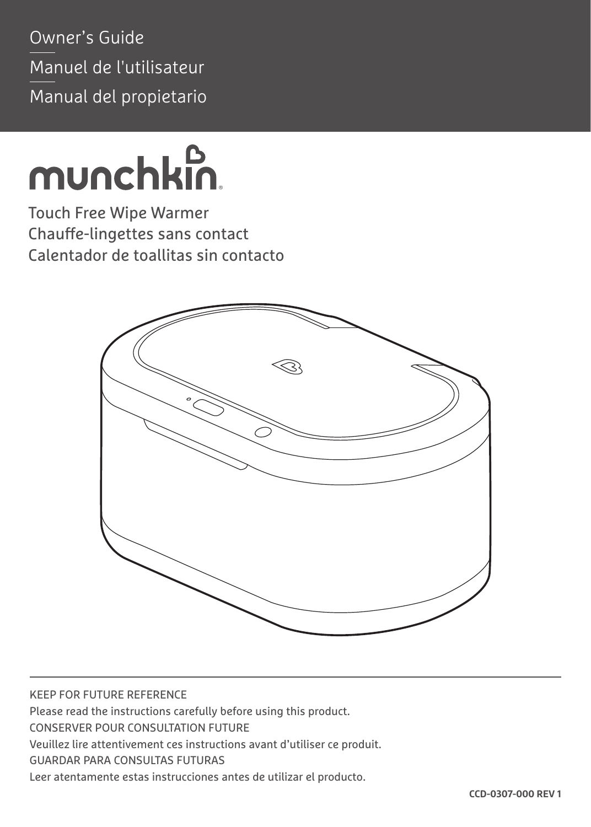Owner's Guide Manuel de l'utilisateur Manual del propietario

# munchkin.

Touch Free Wipe Warmer Chauffe-lingettes sans contact Calentador de toallitas sin contacto



KEEP FOR FUTURE REFERENCE Please read the instructions carefully before using this product. CONSERVER POUR CONSULTATION FUTURE Veuillez lire attentivement ces instructions avant d'utiliser ce produit. GUARDAR PARA CONSULTAS FUTURAS Leer atentamente estas instrucciones antes de utilizar el producto.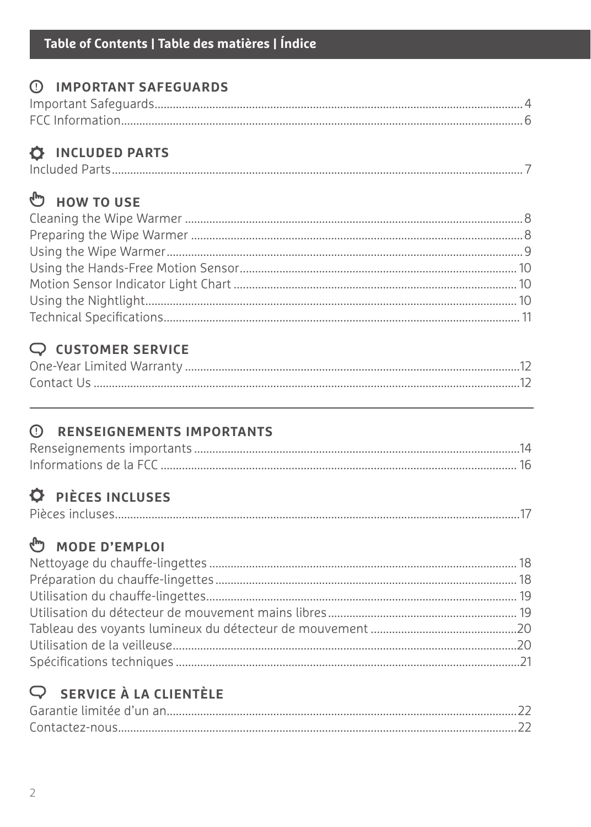#### **C IMPORTANT SAFEGUARDS**

#### **O INCLUDED PARTS**

|--|--|--|

#### <sup>ம</sup>ு ноw то use

#### $Q$  CUSTOMER SERVICE

#### **C RENSEIGNEMENTS IMPORTANTS**

#### **O** PIÈCES INCLUSES

|--|--|--|

#### ₾ MODE D'EMPLOI

#### $Q$  SERVICE À LA CLIENTÈLE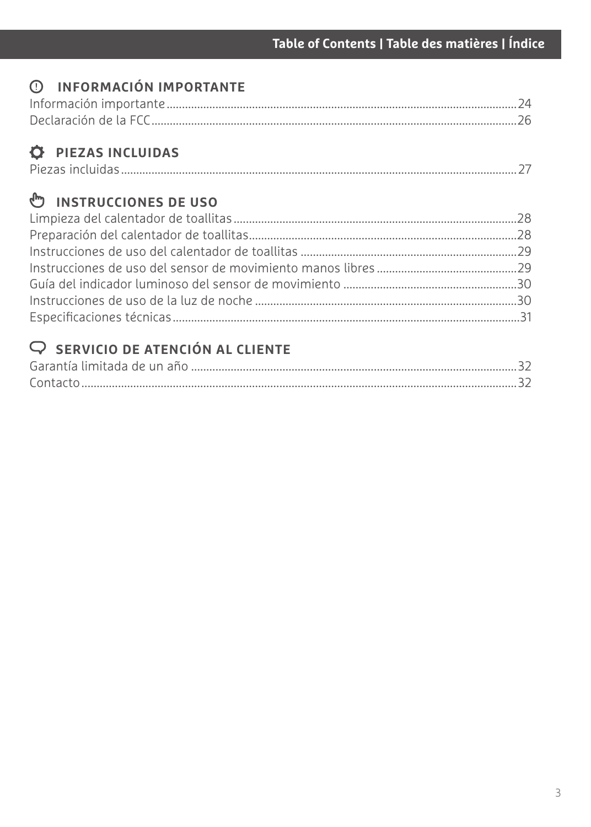#### **INFORMACIÓN IMPORTANTE**

#### $\overrightarrow{Q}$  PIEZAS INCLUIDAS

|--|

#### *<sup>th</sup>* **INSTRUCCIONES DE USO**

#### **SERVICIO DE ATENCIÓN AL CLIENTE**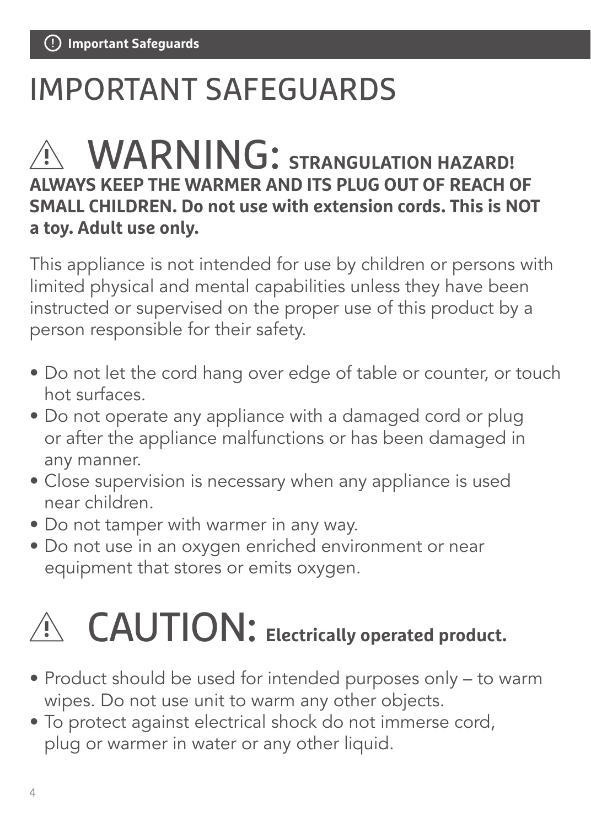# IMPORTANT SAFEGUARDS

# WARNING: **STRANGULATION HAZARD! ALWAYS KEEP THE WARMER AND ITS PLUG OUT OF REACH OF SMALL CHILDREN. Do not use with extension cords. This is NOT a toy. Adult use only.**

This appliance is not intended for use by children or persons with limited physical and mental capabilities unless they have been instructed or supervised on the proper use of this product by a person responsible for their safety.

- Do not let the cord hang over edge of table or counter, or touch hot surfaces.
- Do not operate any appliance with a damaged cord or plug or after the appliance malfunctions or has been damaged in any manner.
- Close supervision is necessary when any appliance is used near children.
- Do not tamper with warmer in any way.
- Do not use in an oxygen enriched environment or near equipment that stores or emits oxygen.



# CAUTION: **Electrically operated product.**

- Product should be used for intended purposes only to warm wipes. Do not use unit to warm any other objects.
- To protect against electrical shock do not immerse cord, plug or warmer in water or any other liquid.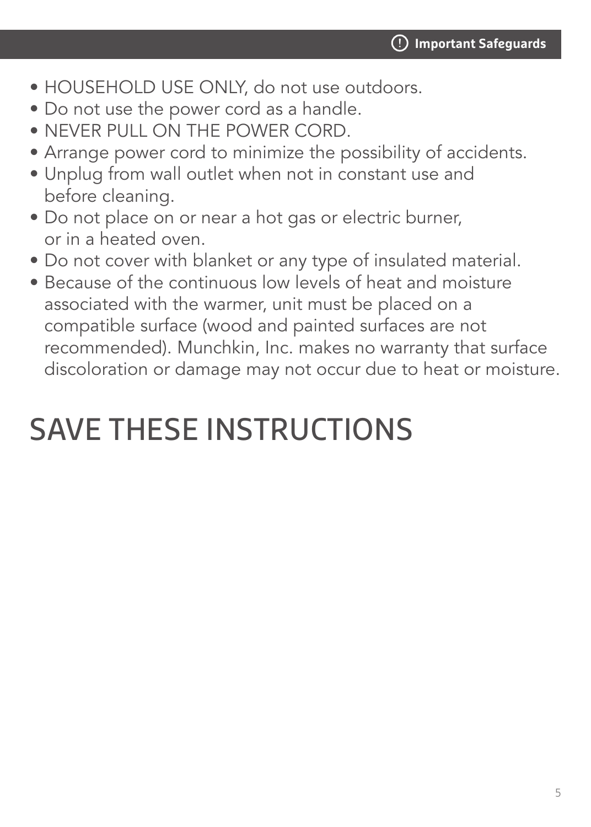- HOUSEHOLD USE ONLY, do not use outdoors.
- Do not use the power cord as a handle.
- NEVER PULL ON THE POWER CORD.
- Arrange power cord to minimize the possibility of accidents.
- Unplug from wall outlet when not in constant use and before cleaning.
- Do not place on or near a hot gas or electric burner, or in a heated oven.
- Do not cover with blanket or any type of insulated material.
- Because of the continuous low levels of heat and moisture associated with the warmer, unit must be placed on a compatible surface (wood and painted surfaces are not recommended). Munchkin, Inc. makes no warranty that surface discoloration or damage may not occur due to heat or moisture.

# SAVE THESE INSTRUCTIONS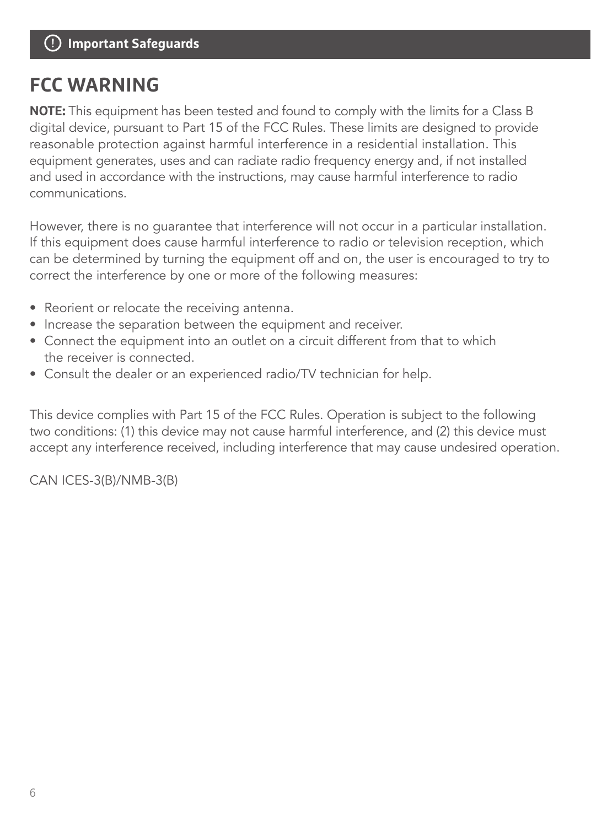### **FCC WARNING**

**NOTE:** This equipment has been tested and found to comply with the limits for a Class B digital device, pursuant to Part 15 of the FCC Rules. These limits are designed to provide reasonable protection against harmful interference in a residential installation. This equipment generates, uses and can radiate radio frequency energy and, if not installed and used in accordance with the instructions, may cause harmful interference to radio communications.

However, there is no guarantee that interference will not occur in a particular installation. If this equipment does cause harmful interference to radio or television reception, which can be determined by turning the equipment off and on, the user is encouraged to try to correct the interference by one or more of the following measures:

- Reorient or relocate the receiving antenna.
- Increase the separation between the equipment and receiver.
- Connect the equipment into an outlet on a circuit different from that to which the receiver is connected.
- Consult the dealer or an experienced radio/TV technician for help.

This device complies with Part 15 of the FCC Rules. Operation is subject to the following two conditions: (1) this device may not cause harmful interference, and (2) this device must accept any interference received, including interference that may cause undesired operation.

CAN ICES-3(B)/NMB-3(B)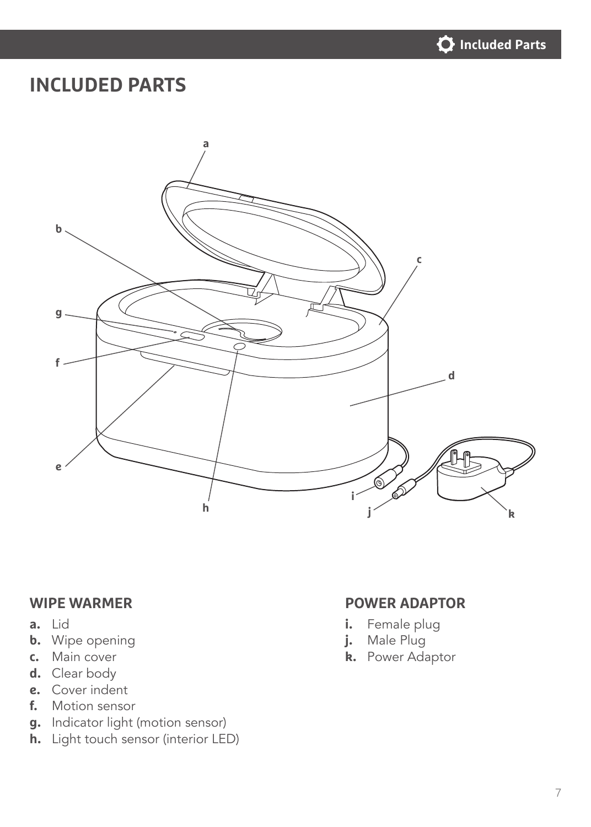

#### **INCLUDED PARTS**



- **a.** Lid
- **b.** Wipe opening
- **c.** Main cover
- **d.** Clear body
- **e.** Cover indent
- **f.** Motion sensor
- **g.** Indicator light (motion sensor)
- **h.** Light touch sensor (interior LED)

#### **WIPE WARMER POWER ADAPTOR**

- **i.** Female plug
- **j.** Male Plug
- **k.** Power Adaptor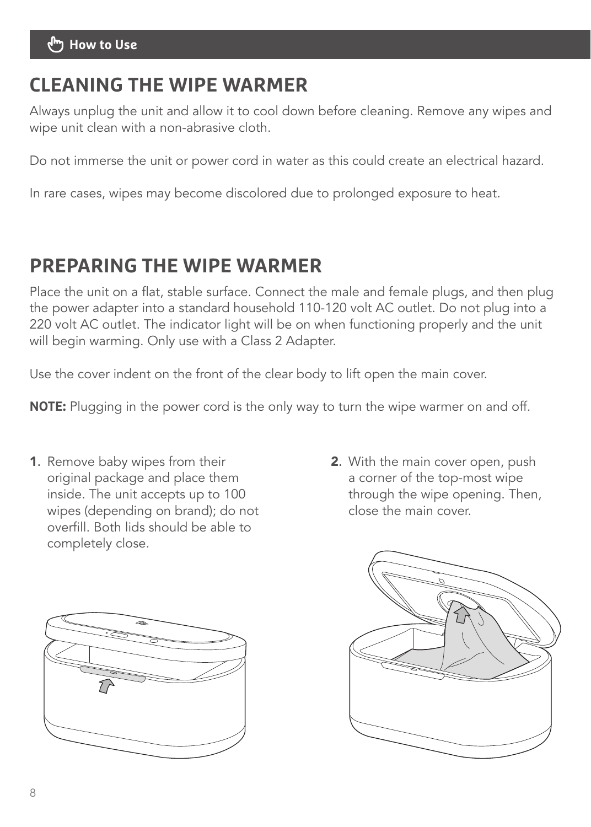#### **CLEANING THE WIPE WARMER**

Always unplug the unit and allow it to cool down before cleaning. Remove any wipes and wipe unit clean with a non-abrasive cloth.

Do not immerse the unit or power cord in water as this could create an electrical hazard.

In rare cases, wipes may become discolored due to prolonged exposure to heat.

#### **PREPARING THE WIPE WARMER**

Place the unit on a flat, stable surface. Connect the male and female plugs, and then plug the power adapter into a standard household 110-120 volt AC outlet. Do not plug into a 220 volt AC outlet. The indicator light will be on when functioning properly and the unit will begin warming. Only use with a Class 2 Adapter.

Use the cover indent on the front of the clear body to lift open the main cover.

**NOTE:** Plugging in the power cord is the only way to turn the wipe warmer on and off.

- 1. Remove baby wipes from their original package and place them inside. The unit accepts up to 100 wipes (depending on brand); do not overfill. Both lids should be able to completely close.
- 2. With the main cover open, push a corner of the top-most wipe through the wipe opening. Then, close the main cover.



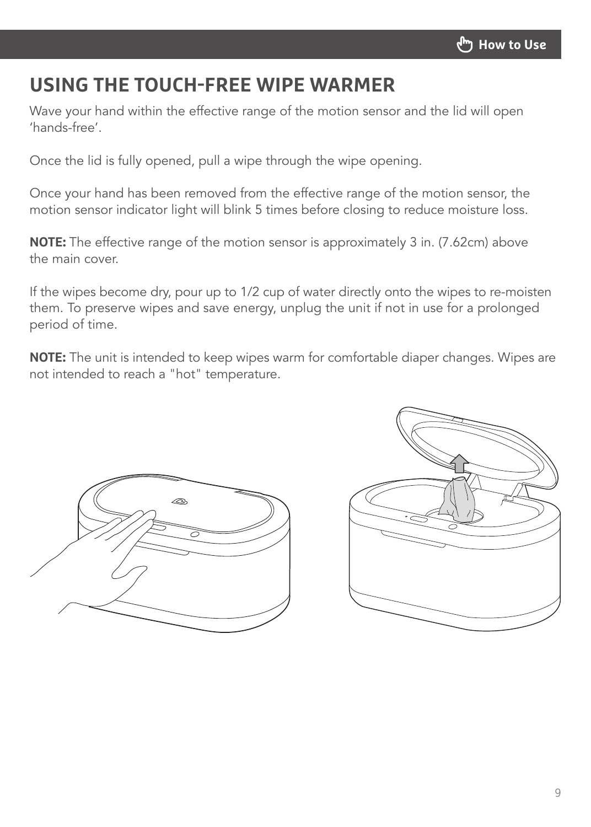#### **USING THE TOUCH-FREE WIPE WARMER**

Wave your hand within the effective range of the motion sensor and the lid will open 'hands-free'.

Once the lid is fully opened, pull a wipe through the wipe opening.

Once your hand has been removed from the effective range of the motion sensor, the motion sensor indicator light will blink 5 times before closing to reduce moisture loss.

**NOTE:** The effective range of the motion sensor is approximately 3 in. (7.62cm) above the main cover.

If the wipes become dry, pour up to 1/2 cup of water directly onto the wipes to re-moisten them. To preserve wipes and save energy, unplug the unit if not in use for a prolonged period of time.

**NOTE:** The unit is intended to keep wipes warm for comfortable diaper changes. Wipes are not intended to reach a "hot" temperature.



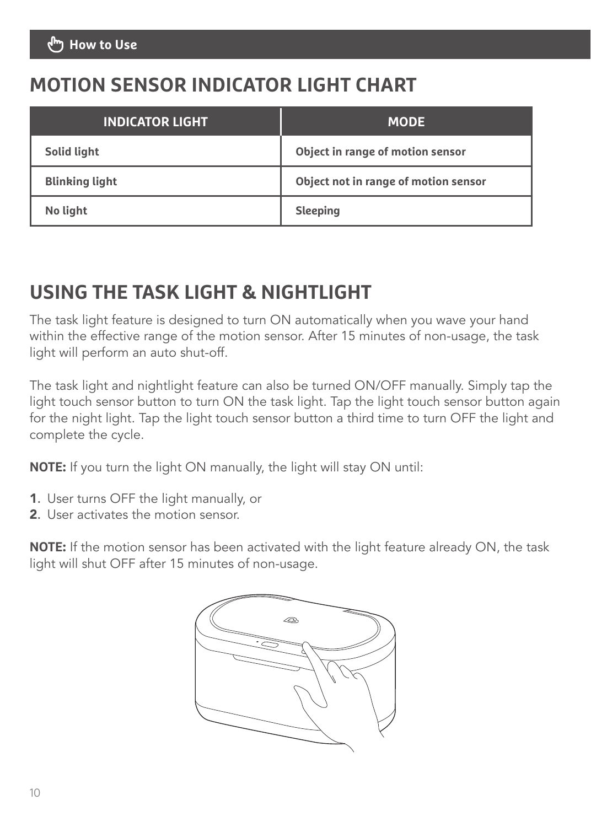### **MOTION SENSOR INDICATOR LIGHT CHART**

| <b>INDICATOR LIGHT</b> | <b>MODE</b>                          |
|------------------------|--------------------------------------|
| Solid light            | Object in range of motion sensor     |
| <b>Blinking light</b>  | Object not in range of motion sensor |
| No light               | Sleeping                             |

#### **USING THE TASK LIGHT & NIGHTLIGHT**

The task light feature is designed to turn ON automatically when you wave your hand within the effective range of the motion sensor. After 15 minutes of non-usage, the task light will perform an auto shut-off.

The task light and nightlight feature can also be turned ON/OFF manually. Simply tap the light touch sensor button to turn ON the task light. Tap the light touch sensor button again for the night light. Tap the light touch sensor button a third time to turn OFF the light and complete the cycle.

**NOTE:** If you turn the light ON manually, the light will stay ON until:

- 1. User turns OFF the light manually, or
- 2. User activates the motion sensor.

**NOTE:** If the motion sensor has been activated with the light feature already ON, the task light will shut OFF after 15 minutes of non-usage.

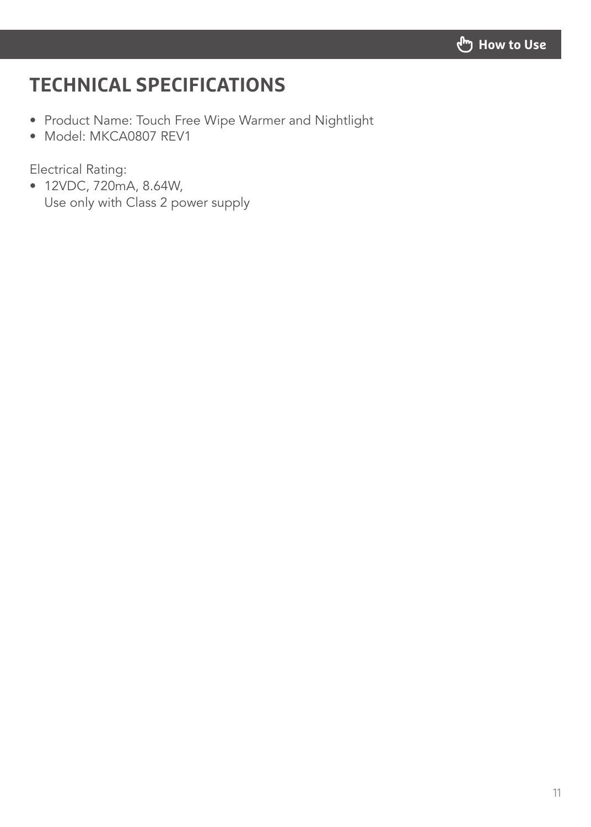

### **TECHNICAL SPECIFICATIONS**

- Product Name: Touch Free Wipe Warmer and Nightlight
- Model: MKCA0807 REV1

Electrical Rating:

• 12VDC, 720mA, 8.64W, Use only with Class 2 power supply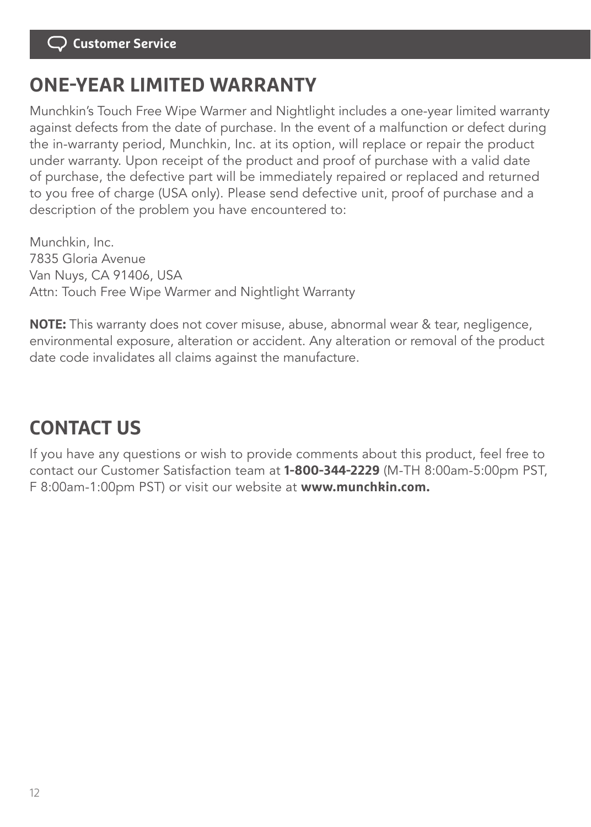#### **ONE-YEAR LIMITED WARRANTY**

Munchkin's Touch Free Wipe Warmer and Nightlight includes a one-year limited warranty against defects from the date of purchase. In the event of a malfunction or defect during the in-warranty period, Munchkin, Inc. at its option, will replace or repair the product under warranty. Upon receipt of the product and proof of purchase with a valid date of purchase, the defective part will be immediately repaired or replaced and returned to you free of charge (USA only). Please send defective unit, proof of purchase and a description of the problem you have encountered to:

Munchkin, Inc. 7835 Gloria Avenue Van Nuys, CA 91406, USA Attn: Touch Free Wipe Warmer and Nightlight Warranty

**NOTE:** This warranty does not cover misuse, abuse, abnormal wear & tear, negligence, environmental exposure, alteration or accident. Any alteration or removal of the product date code invalidates all claims against the manufacture.

## **CONTACT US**

If you have any questions or wish to provide comments about this product, feel free to contact our Customer Satisfaction team at **1-800-344-2229** (M-TH 8:00am-5:00pm PST, F 8:00am-1:00pm PST) or visit our website at **www.munchkin.com.**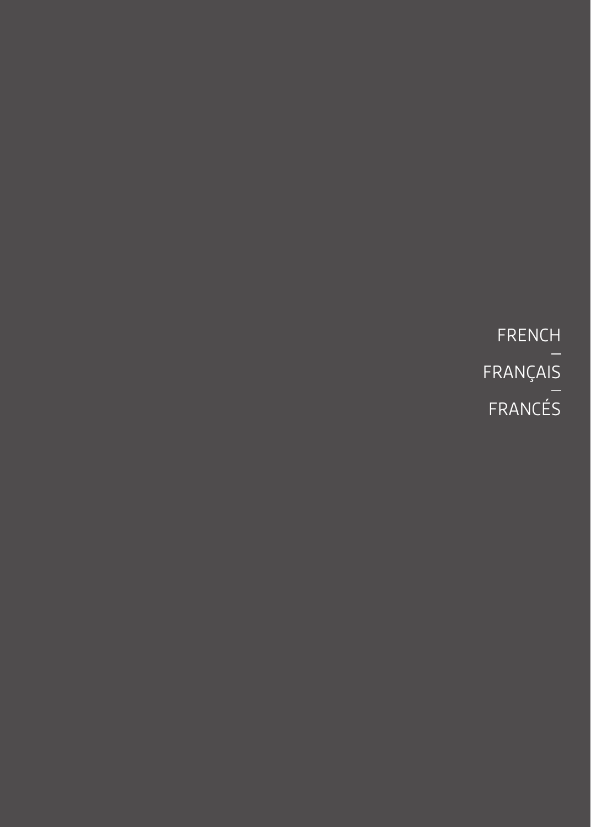FRENCH FRANÇAIS FRANCÉS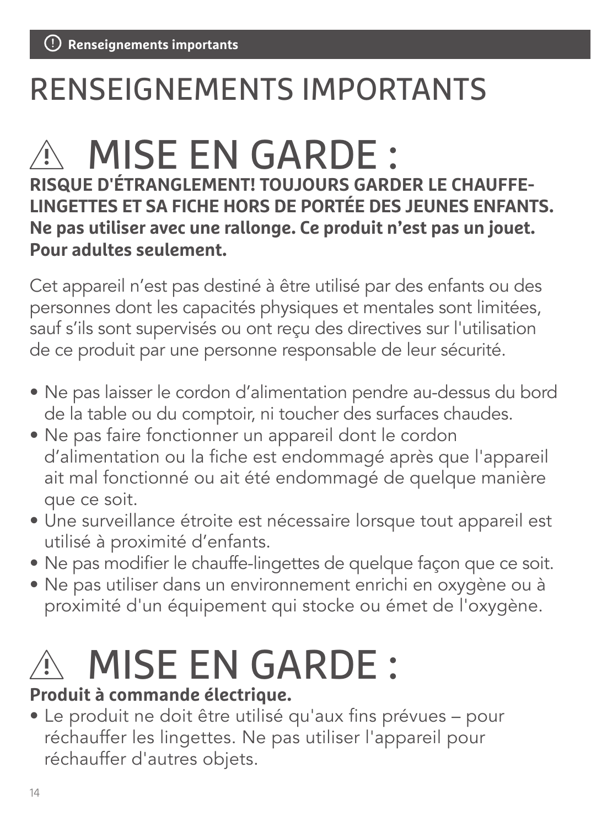# RENSEIGNEMENTS IMPORTANTS

# $\wedge$  MISE EN GARDE :

**RISQUE D'ÉTRANGLEMENT! TOUJOURS GARDER LE CHAUFFE-LINGETTES ET SA FICHE HORS DE PORTÉE DES JEUNES ENFANTS. Ne pas utiliser avec une rallonge. Ce produit n'est pas un jouet. Pour adultes seulement.**

Cet appareil n'est pas destiné à être utilisé par des enfants ou des personnes dont les capacités physiques et mentales sont limitées, sauf s'ils sont supervisés ou ont reçu des directives sur l'utilisation de ce produit par une personne responsable de leur sécurité.

- Ne pas laisser le cordon d'alimentation pendre au-dessus du bord de la table ou du comptoir, ni toucher des surfaces chaudes.
- Ne pas faire fonctionner un appareil dont le cordon d'alimentation ou la fiche est endommagé après que l'appareil ait mal fonctionné ou ait été endommagé de quelque manière que ce soit.
- Une surveillance étroite est nécessaire lorsque tout appareil est utilisé à proximité d'enfants.
- Ne pas modifier le chauffe-lingettes de quelque façon que ce soit.
- Ne pas utiliser dans un environnement enrichi en oxygène ou à proximité d'un équipement qui stocke ou émet de l'oxygène.

# $\hat{\mathbb{A}}$  MISE EN GARDE :

#### **Produit à commande électrique.**

• Le produit ne doit être utilisé qu'aux fins prévues – pour réchauffer les lingettes. Ne pas utiliser l'appareil pour réchauffer d'autres objets.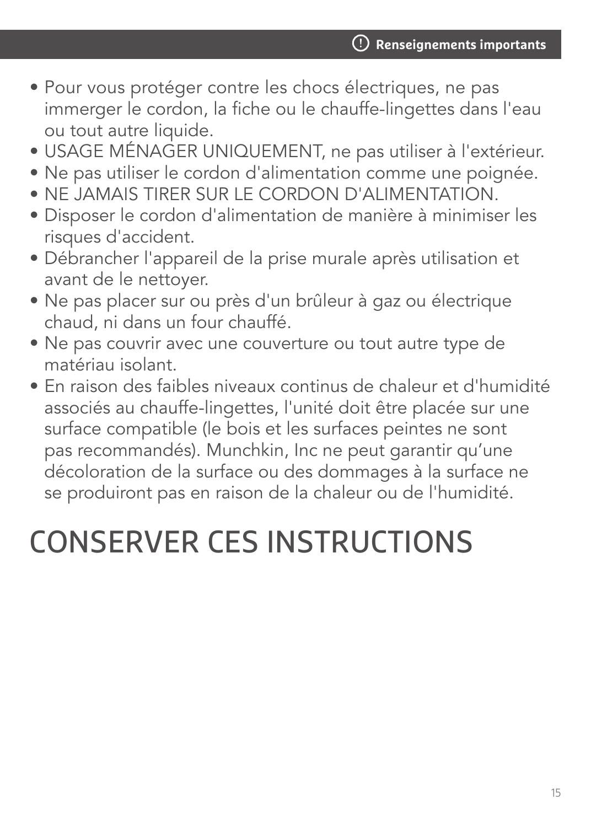- Pour vous protéger contre les chocs électriques, ne pas immerger le cordon, la fiche ou le chauffe-lingettes dans l'eau ou tout autre liquide.
- USAGE MÉNAGER UNIQUEMENT, ne pas utiliser à l'extérieur.
- Ne pas utiliser le cordon d'alimentation comme une poignée.
- NE JAMAIS TIRER SUR LE CORDON D'ALIMENTATION.
- Disposer le cordon d'alimentation de manière à minimiser les risques d'accident.
- Débrancher l'appareil de la prise murale après utilisation et avant de le nettoyer.
- Ne pas placer sur ou près d'un brûleur à gaz ou électrique chaud, ni dans un four chauffé.
- Ne pas couvrir avec une couverture ou tout autre type de matériau isolant.
- En raison des faibles niveaux continus de chaleur et d'humidité associés au chauffe-lingettes, l'unité doit être placée sur une surface compatible (le bois et les surfaces peintes ne sont pas recommandés). Munchkin, Inc ne peut garantir qu'une décoloration de la surface ou des dommages à la surface ne se produiront pas en raison de la chaleur ou de l'humidité.

# CONSERVER CES INSTRUCTIONS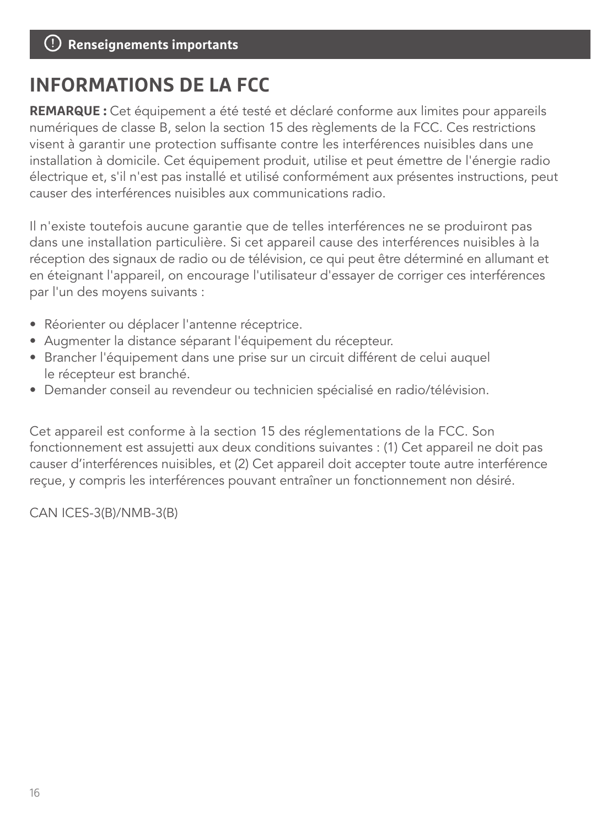### **INFORMATIONS DE LA FCC**

**REMARQUE :** Cet équipement a été testé et déclaré conforme aux limites pour appareils numériques de classe B, selon la section 15 des règlements de la FCC. Ces restrictions visent à garantir une protection suffisante contre les interférences nuisibles dans une installation à domicile. Cet équipement produit, utilise et peut émettre de l'énergie radio électrique et, s'il n'est pas installé et utilisé conformément aux présentes instructions, peut causer des interférences nuisibles aux communications radio.

Il n'existe toutefois aucune garantie que de telles interférences ne se produiront pas dans une installation particulière. Si cet appareil cause des interférences nuisibles à la réception des signaux de radio ou de télévision, ce qui peut être déterminé en allumant et en éteignant l'appareil, on encourage l'utilisateur d'essayer de corriger ces interférences par l'un des moyens suivants :

- Réorienter ou déplacer l'antenne réceptrice.
- Augmenter la distance séparant l'équipement du récepteur.
- Brancher l'équipement dans une prise sur un circuit différent de celui auquel le récepteur est branché.
- Demander conseil au revendeur ou technicien spécialisé en radio/télévision.

Cet appareil est conforme à la section 15 des réglementations de la FCC. Son fonctionnement est assujetti aux deux conditions suivantes : (1) Cet appareil ne doit pas causer d'interférences nuisibles, et (2) Cet appareil doit accepter toute autre interférence reçue, y compris les interférences pouvant entraîner un fonctionnement non désiré.

CAN ICES-3(B)/NMB-3(B)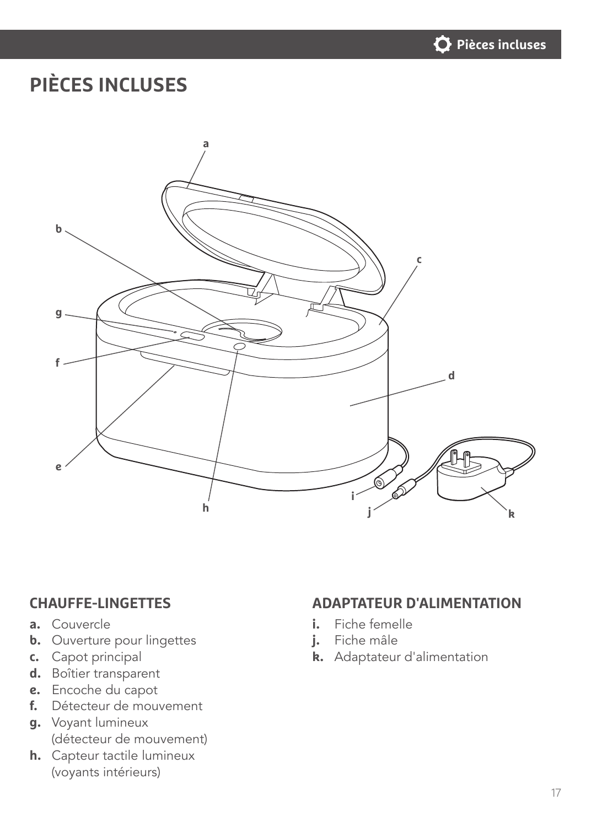

# **PIÈCES INCLUSES**



- **a.** Couvercle
- **b.** Ouverture pour lingettes
- **c.** Capot principal
- **d.** Boîtier transparent
- **e.** Encoche du capot
- **f.** Détecteur de mouvement
- **g.** Voyant lumineux (détecteur de mouvement)
- **h.** Capteur tactile lumineux (voyants intérieurs)

#### **CHAUFFE-LINGETTES ADAPTATEUR D'ALIMENTATION**

- **i.** Fiche femelle
- **j.** Fiche mâle
- **k.** Adaptateur d'alimentation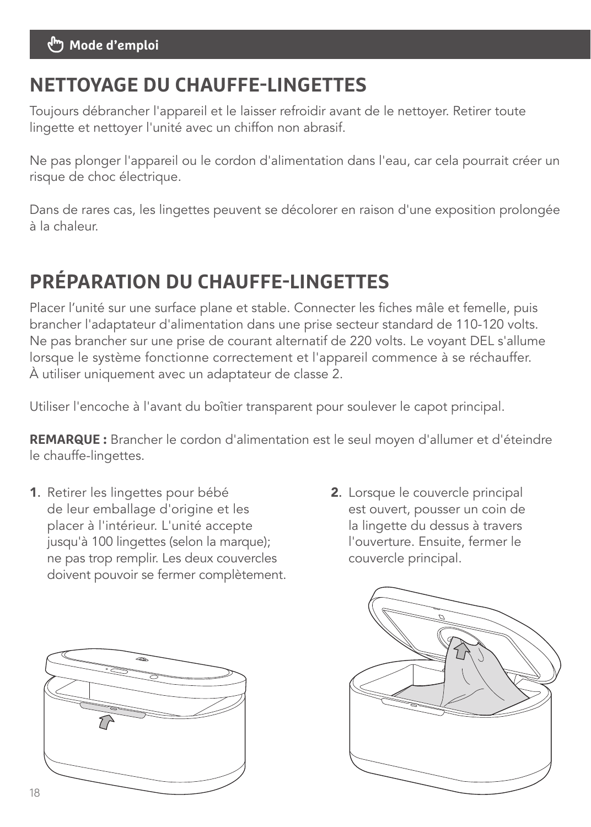#### **Mode d'emploi**

#### **NETTOYAGE DU CHAUFFE-LINGETTES**

Toujours débrancher l'appareil et le laisser refroidir avant de le nettoyer. Retirer toute lingette et nettoyer l'unité avec un chiffon non abrasif.

Ne pas plonger l'appareil ou le cordon d'alimentation dans l'eau, car cela pourrait créer un risque de choc électrique.

Dans de rares cas, les lingettes peuvent se décolorer en raison d'une exposition prolongée à la chaleur.

# **PRÉPARATION DU CHAUFFE-LINGETTES**

Placer l'unité sur une surface plane et stable. Connecter les fiches mâle et femelle, puis brancher l'adaptateur d'alimentation dans une prise secteur standard de 110-120 volts. Ne pas brancher sur une prise de courant alternatif de 220 volts. Le voyant DEL s'allume lorsque le système fonctionne correctement et l'appareil commence à se réchauffer. À utiliser uniquement avec un adaptateur de classe 2.

Utiliser l'encoche à l'avant du boîtier transparent pour soulever le capot principal.

**REMARQUE :** Brancher le cordon d'alimentation est le seul moyen d'allumer et d'éteindre le chauffe-lingettes.

- 1. Retirer les lingettes pour bébé de leur emballage d'origine et les placer à l'intérieur. L'unité accepte jusqu'à 100 lingettes (selon la marque); ne pas trop remplir. Les deux couvercles doivent pouvoir se fermer complètement.
- 2. Lorsque le couvercle principal est ouvert, pousser un coin de la lingette du dessus à travers l'ouverture. Ensuite, fermer le couvercle principal.



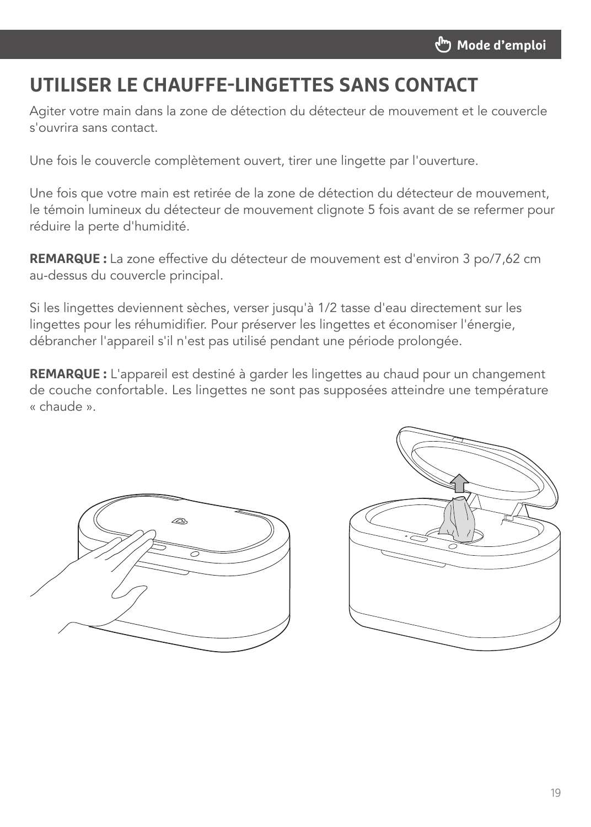### **UTILISER LE CHAUFFE-LINGETTES SANS CONTACT**

Agiter votre main dans la zone de détection du détecteur de mouvement et le couvercle s'ouvrira sans contact.

Une fois le couvercle complètement ouvert, tirer une lingette par l'ouverture.

Une fois que votre main est retirée de la zone de détection du détecteur de mouvement, le témoin lumineux du détecteur de mouvement clignote 5 fois avant de se refermer pour réduire la perte d'humidité.

**REMARQUE :** La zone effective du détecteur de mouvement est d'environ 3 po/7,62 cm au-dessus du couvercle principal.

Si les lingettes deviennent sèches, verser jusqu'à 1/2 tasse d'eau directement sur les lingettes pour les réhumidifier. Pour préserver les lingettes et économiser l'énergie, débrancher l'appareil s'il n'est pas utilisé pendant une période prolongée.

**REMARQUE :** L'appareil est destiné à garder les lingettes au chaud pour un changement de couche confortable. Les lingettes ne sont pas supposées atteindre une température « chaude ».



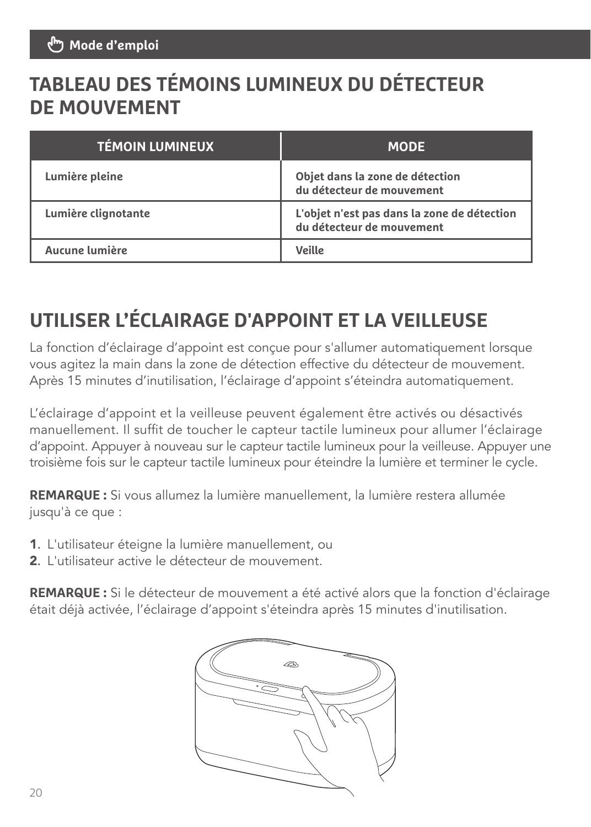## **TABLEAU DES TÉMOINS LUMINEUX DU DÉTECTEUR DE MOUVEMENT**

| <b>TÉMOIN LUMINEUX</b> | <b>MODE</b>                                                              |
|------------------------|--------------------------------------------------------------------------|
| Lumière pleine         | Objet dans la zone de détection<br>du détecteur de mouvement             |
| Lumière clignotante    | L'objet n'est pas dans la zone de détection<br>du détecteur de mouvement |
| Aucune lumière         | Veille                                                                   |

## **UTILISER L'ÉCLAIRAGE D'APPOINT ET LA VEILLEUSE**

La fonction d'éclairage d'appoint est conçue pour s'allumer automatiquement lorsque vous agitez la main dans la zone de détection effective du détecteur de mouvement. Après 15 minutes d'inutilisation, l'éclairage d'appoint s'éteindra automatiquement.

L'éclairage d'appoint et la veilleuse peuvent également être activés ou désactivés manuellement. Il suffit de toucher le capteur tactile lumineux pour allumer l'éclairage d'appoint. Appuyer à nouveau sur le capteur tactile lumineux pour la veilleuse. Appuyer une troisième fois sur le capteur tactile lumineux pour éteindre la lumière et terminer le cycle.

**REMARQUE :** Si vous allumez la lumière manuellement, la lumière restera allumée jusqu'à ce que :

- 1. L'utilisateur éteigne la lumière manuellement, ou
- 2. L'utilisateur active le détecteur de mouvement.

**REMARQUE :** Si le détecteur de mouvement a été activé alors que la fonction d'éclairage était déjà activée, l'éclairage d'appoint s'éteindra après 15 minutes d'inutilisation.

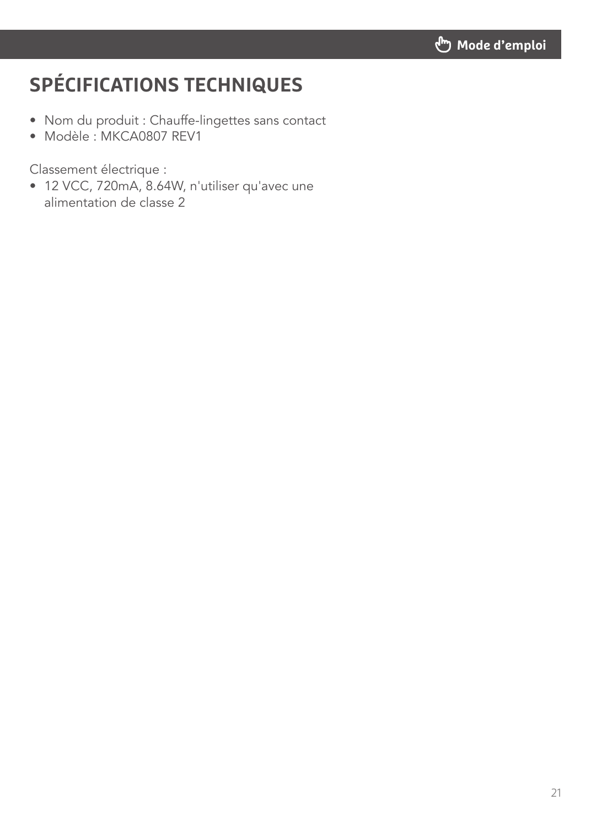# **SPÉCIFICATIONS TECHNIQUES**

- Nom du produit : Chauffe-lingettes sans contact
- Modèle : MKCA0807 REV1

Classement électrique :

• 12 VCC, 720mA, 8.64W, n'utiliser qu'avec une alimentation de classe 2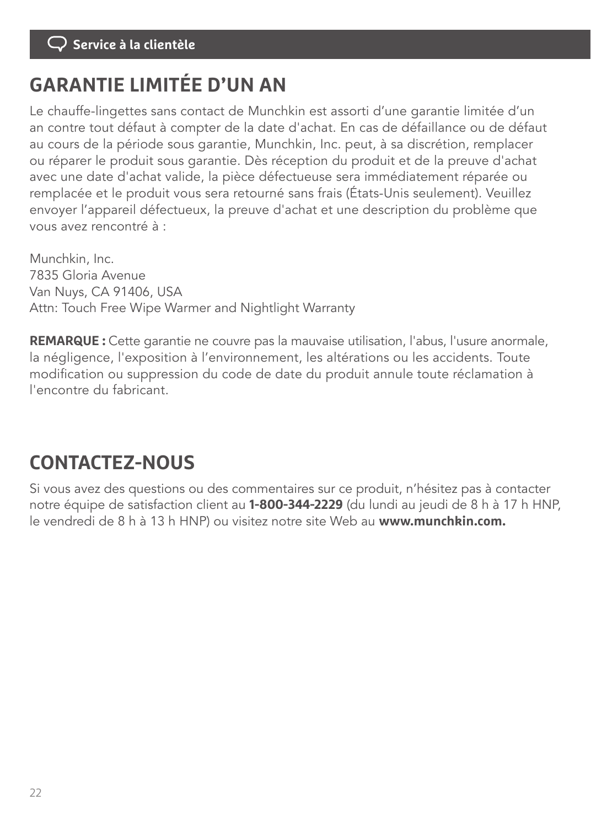#### **Service à la clientèle**

### **GARANTIE LIMITÉE D'UN AN**

Le chauffe-lingettes sans contact de Munchkin est assorti d'une garantie limitée d'un an contre tout défaut à compter de la date d'achat. En cas de défaillance ou de défaut au cours de la période sous garantie, Munchkin, Inc. peut, à sa discrétion, remplacer ou réparer le produit sous garantie. Dès réception du produit et de la preuve d'achat avec une date d'achat valide, la pièce défectueuse sera immédiatement réparée ou remplacée et le produit vous sera retourné sans frais (États-Unis seulement). Veuillez envoyer l'appareil défectueux, la preuve d'achat et une description du problème que vous avez rencontré à :

Munchkin, Inc. 7835 Gloria Avenue Van Nuys, CA 91406, USA Attn: Touch Free Wipe Warmer and Nightlight Warranty

**REMARQUE :** Cette garantie ne couvre pas la mauvaise utilisation, l'abus, l'usure anormale, la négligence, l'exposition à l'environnement, les altérations ou les accidents. Toute modification ou suppression du code de date du produit annule toute réclamation à l'encontre du fabricant.

### **CONTACTEZ-NOUS**

Si vous avez des questions ou des commentaires sur ce produit, n'hésitez pas à contacter notre équipe de satisfaction client au **1-800-344-2229** (du lundi au jeudi de 8 h à 17 h HNP, le vendredi de 8 h à 13 h HNP) ou visitez notre site Web au **www.munchkin.com.**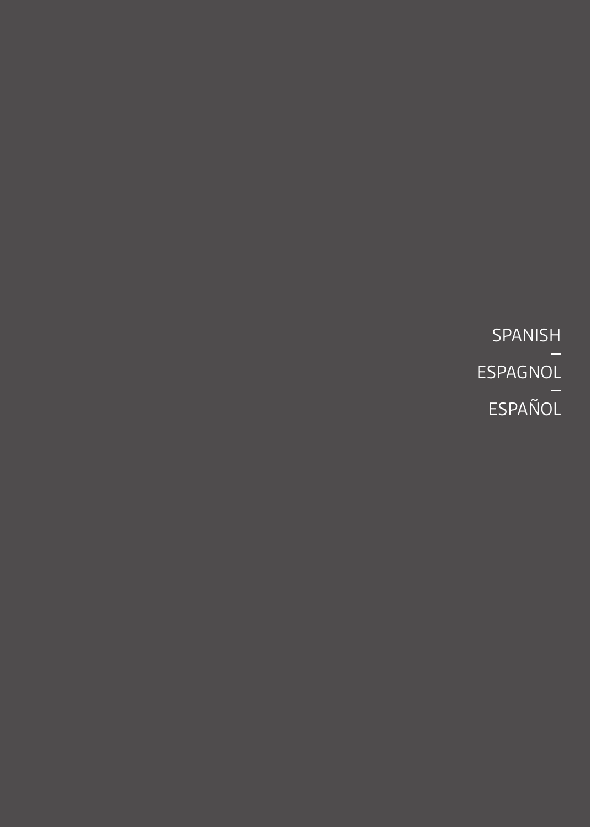SPANISH ESPAGNOL ESPAÑOL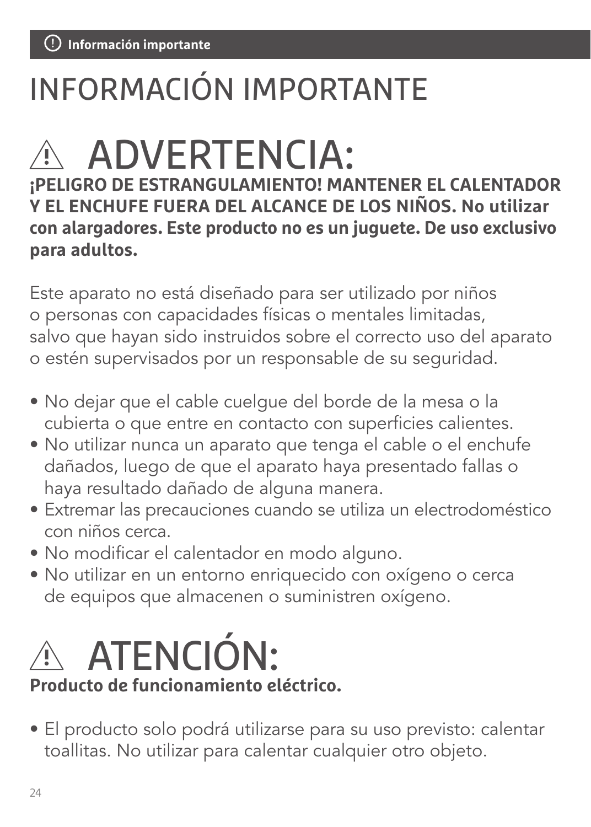# INFORMACIÓN IMPORTANTE

# $\wedge$  ADVERTENCIA:

**¡PELIGRO DE ESTRANGULAMIENTO! MANTENER EL CALENTADOR Y EL ENCHUFE FUERA DEL ALCANCE DE LOS NIÑOS. No utilizar con alargadores. Este producto no es un juguete. De uso exclusivo para adultos.**

Este aparato no está diseñado para ser utilizado por niños o personas con capacidades físicas o mentales limitadas, salvo que hayan sido instruidos sobre el correcto uso del aparato o estén supervisados por un responsable de su seguridad.

- No dejar que el cable cuelgue del borde de la mesa o la cubierta o que entre en contacto con superficies calientes.
- No utilizar nunca un aparato que tenga el cable o el enchufe dañados, luego de que el aparato haya presentado fallas o haya resultado dañado de alguna manera.
- Extremar las precauciones cuando se utiliza un electrodoméstico con niños cerca.
- No modificar el calentador en modo alguno.
- No utilizar en un entorno enriquecido con oxígeno o cerca de equipos que almacenen o suministren oxígeno.



#### **Producto de funcionamiento eléctrico.**

• El producto solo podrá utilizarse para su uso previsto: calentar toallitas. No utilizar para calentar cualquier otro objeto.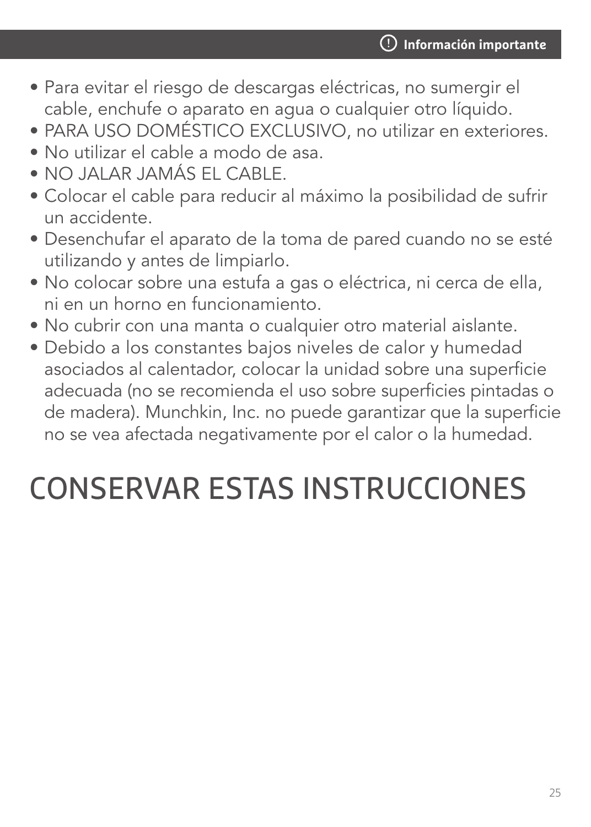- Para evitar el riesgo de descargas eléctricas, no sumergir el cable, enchufe o aparato en agua o cualquier otro líquido.
- PARA USO DOMÉSTICO EXCLUSIVO, no utilizar en exteriores.
- No utilizar el cable a modo de asa.
- NO JALAR JAMÁS EL CABLE.
- Colocar el cable para reducir al máximo la posibilidad de sufrir un accidente.
- Desenchufar el aparato de la toma de pared cuando no se esté utilizando y antes de limpiarlo.
- No colocar sobre una estufa a gas o eléctrica, ni cerca de ella, ni en un horno en funcionamiento.
- No cubrir con una manta o cualquier otro material aislante.
- Debido a los constantes bajos niveles de calor y humedad asociados al calentador, colocar la unidad sobre una superficie adecuada (no se recomienda el uso sobre superficies pintadas o de madera). Munchkin, Inc. no puede garantizar que la superficie no se vea afectada negativamente por el calor o la humedad.

# CONSERVAR ESTAS INSTRUCCIONES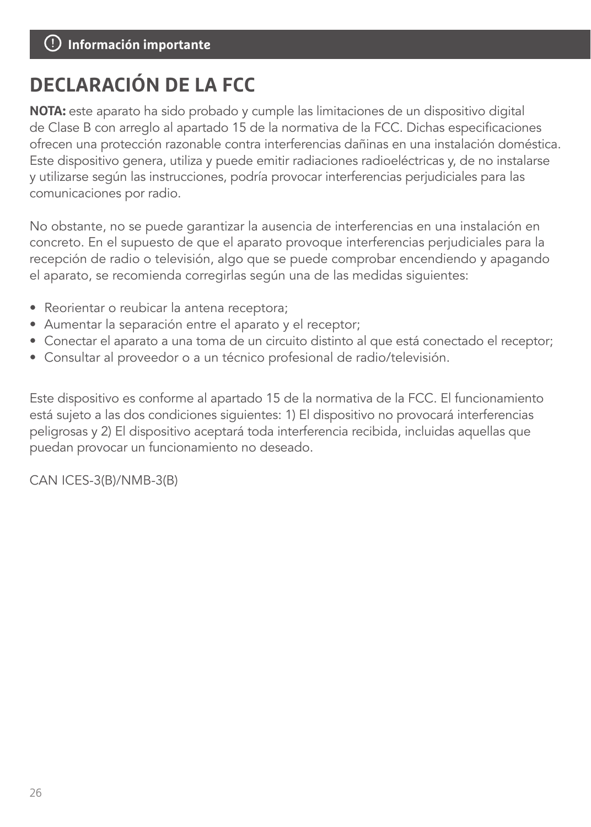#### **Piezas Incluidas Información importante**

### **DECLARACIÓN DE LA FCC**

**NOTA:** este aparato ha sido probado y cumple las limitaciones de un dispositivo digital de Clase B con arreglo al apartado 15 de la normativa de la FCC. Dichas especificaciones ofrecen una protección razonable contra interferencias dañinas en una instalación doméstica. Este dispositivo genera, utiliza y puede emitir radiaciones radioeléctricas y, de no instalarse y utilizarse según las instrucciones, podría provocar interferencias perjudiciales para las comunicaciones por radio.

No obstante, no se puede garantizar la ausencia de interferencias en una instalación en concreto. En el supuesto de que el aparato provoque interferencias perjudiciales para la recepción de radio o televisión, algo que se puede comprobar encendiendo y apagando el aparato, se recomienda corregirlas según una de las medidas siguientes:

- Reorientar o reubicar la antena receptora;
- Aumentar la separación entre el aparato y el receptor;
- Conectar el aparato a una toma de un circuito distinto al que está conectado el receptor;
- Consultar al proveedor o a un técnico profesional de radio/televisión.

Este dispositivo es conforme al apartado 15 de la normativa de la FCC. El funcionamiento está sujeto a las dos condiciones siguientes: 1) El dispositivo no provocará interferencias peligrosas y 2) El dispositivo aceptará toda interferencia recibida, incluidas aquellas que puedan provocar un funcionamiento no deseado.

CAN ICES-3(B)/NMB-3(B)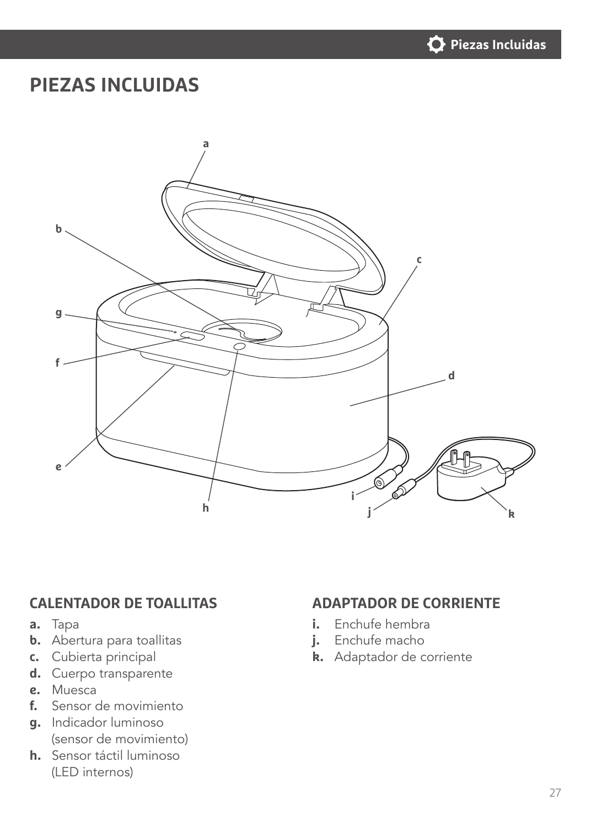

#### **PIEZAS INCLUIDAS**



#### **CALENTADOR DE TOALLITAS ADAPTADOR DE CORRIENTE**

- **a.** Tapa
- **b.** Abertura para toallitas
- **c.** Cubierta principal
- **d.** Cuerpo transparente
- **e.** Muesca
- **f.** Sensor de movimiento
- **g.** Indicador luminoso (sensor de movimiento)
- **h.** Sensor táctil luminoso (LED internos)

- **i.** Enchufe hembra
- **j.** Enchufe macho
- **k.** Adaptador de corriente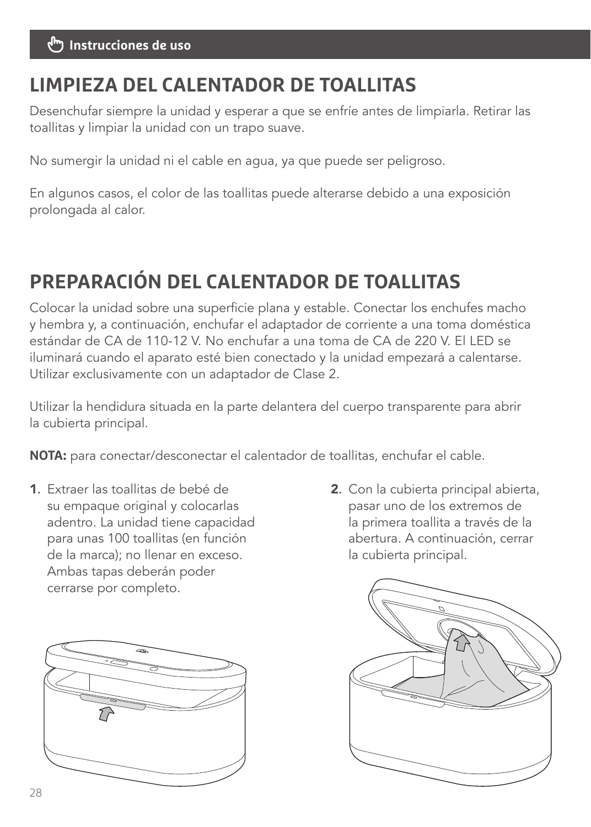### **LIMPIEZA DEL CALENTADOR DE TOALLITAS**

Desenchufar siempre la unidad y esperar a que se enfríe antes de limpiarla. Retirar las toallitas y limpiar la unidad con un trapo suave.

No sumergir la unidad ni el cable en agua, ya que puede ser peligroso.

En algunos casos, el color de las toallitas puede alterarse debido a una exposición prolongada al calor.

# **PREPARACIÓN DEL CALENTADOR DE TOALLITAS**

Colocar la unidad sobre una superficie plana y estable. Conectar los enchufes macho y hembra y, a continuación, enchufar el adaptador de corriente a una toma doméstica estándar de CA de 110-12 V. No enchufar a una toma de CA de 220 V. El LED se iluminará cuando el aparato esté bien conectado y la unidad empezará a calentarse. Utilizar exclusivamente con un adaptador de Clase 2.

Utilizar la hendidura situada en la parte delantera del cuerpo transparente para abrir la cubierta principal.

**NOTA:** para conectar/desconectar el calentador de toallitas, enchufar el cable.

- 1. Extraer las toallitas de bebé de su empaque original y colocarlas adentro. La unidad tiene capacidad para unas 100 toallitas (en función de la marca); no llenar en exceso. Ambas tapas deberán poder cerrarse por completo.
- 2. Con la cubierta principal abierta, pasar uno de los extremos de la primera toallita a través de la abertura. A continuación, cerrar la cubierta principal.



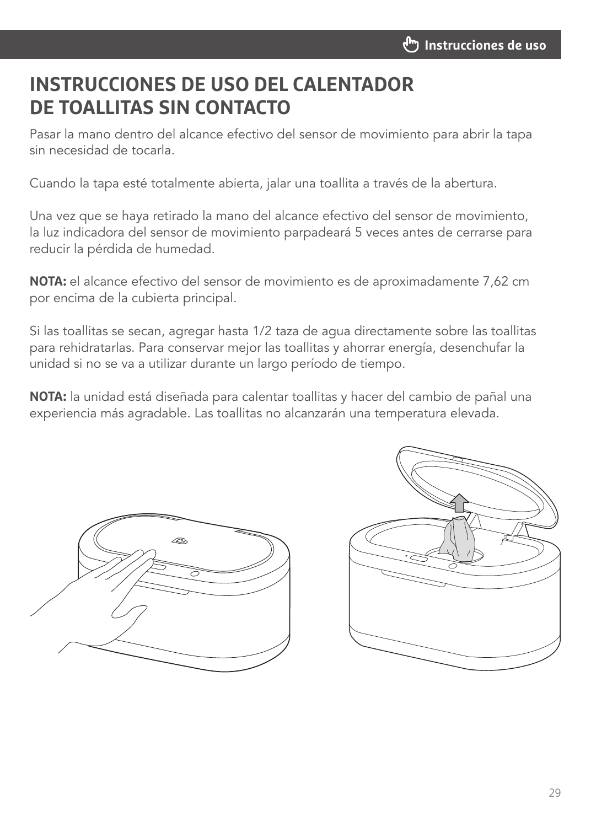#### **INSTRUCCIONES DE USO DEL CALENTADOR DE TOALLITAS SIN CONTACTO**

Pasar la mano dentro del alcance efectivo del sensor de movimiento para abrir la tapa sin necesidad de tocarla.

Cuando la tapa esté totalmente abierta, jalar una toallita a través de la abertura.

Una vez que se haya retirado la mano del alcance efectivo del sensor de movimiento, la luz indicadora del sensor de movimiento parpadeará 5 veces antes de cerrarse para reducir la pérdida de humedad.

**NOTA:** el alcance efectivo del sensor de movimiento es de aproximadamente 7,62 cm por encima de la cubierta principal.

Si las toallitas se secan, agregar hasta 1/2 taza de agua directamente sobre las toallitas para rehidratarlas. Para conservar mejor las toallitas y ahorrar energía, desenchufar la unidad si no se va a utilizar durante un largo período de tiempo.

**NOTA:** la unidad está diseñada para calentar toallitas y hacer del cambio de pañal una experiencia más agradable. Las toallitas no alcanzarán una temperatura elevada.



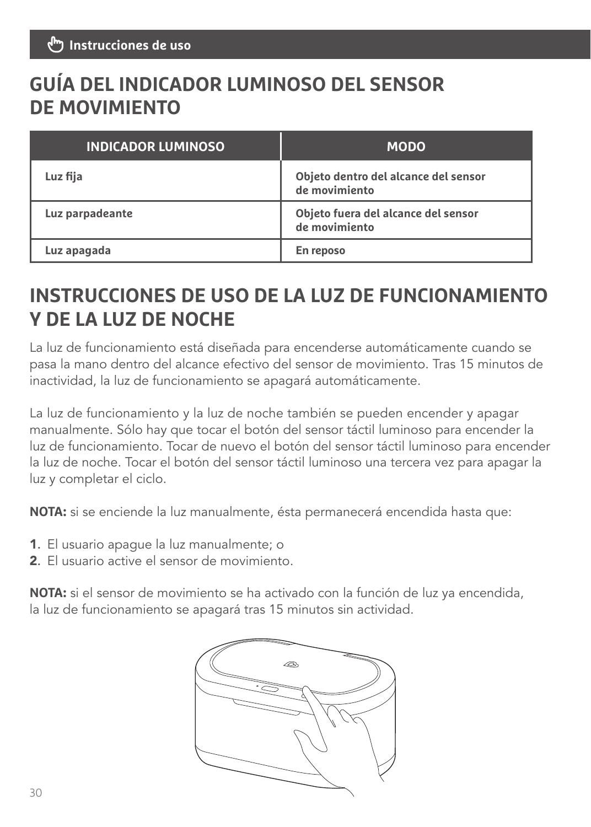### **GUÍA DEL INDICADOR LUMINOSO DEL SENSOR DE MOVIMIENTO**

| <b>INDICADOR LUMINOSO</b> | <b>MODO</b>                                           |
|---------------------------|-------------------------------------------------------|
| Luz fija                  | Objeto dentro del alcance del sensor<br>de movimiento |
| Luz parpadeante           | Objeto fuera del alcance del sensor<br>de movimiento  |
| Luz apagada               | En reposo                                             |

### **INSTRUCCIONES DE USO DE LA LUZ DE FUNCIONAMIENTO Y DE LA LUZ DE NOCHE**

La luz de funcionamiento está diseñada para encenderse automáticamente cuando se pasa la mano dentro del alcance efectivo del sensor de movimiento. Tras 15 minutos de inactividad, la luz de funcionamiento se apagará automáticamente.

La luz de funcionamiento y la luz de noche también se pueden encender y apagar manualmente. Sólo hay que tocar el botón del sensor táctil luminoso para encender la luz de funcionamiento. Tocar de nuevo el botón del sensor táctil luminoso para encender la luz de noche. Tocar el botón del sensor táctil luminoso una tercera vez para apagar la luz y completar el ciclo.

**NOTA:** si se enciende la luz manualmente, ésta permanecerá encendida hasta que:

- 1. El usuario apague la luz manualmente; o
- 2. El usuario active el sensor de movimiento.

**NOTA:** si el sensor de movimiento se ha activado con la función de luz ya encendida, la luz de funcionamiento se apagará tras 15 minutos sin actividad.

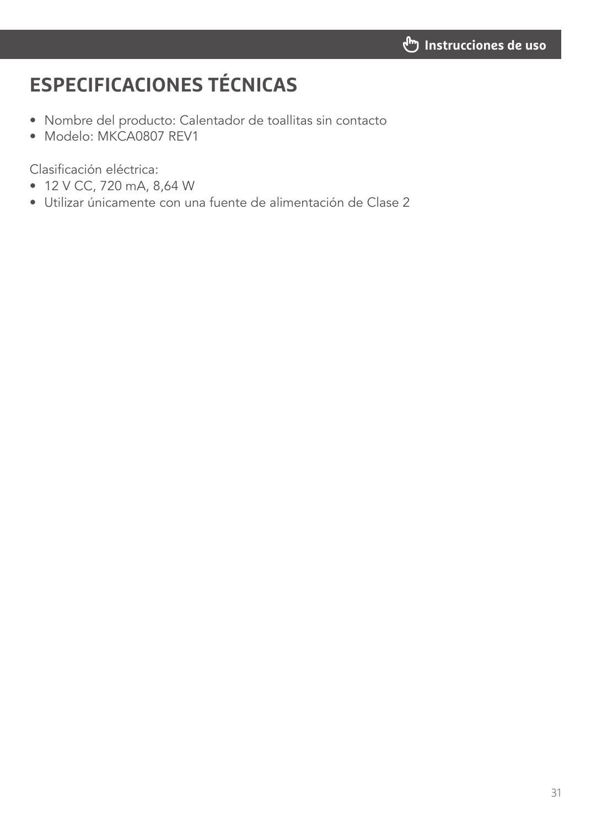# **ESPECIFICACIONES TÉCNICAS**

- Nombre del producto: Calentador de toallitas sin contacto
- Modelo: MKCA0807 REV1

Clasificación eléctrica:

- 12 V CC, 720 mA, 8,64 W
- Utilizar únicamente con una fuente de alimentación de Clase 2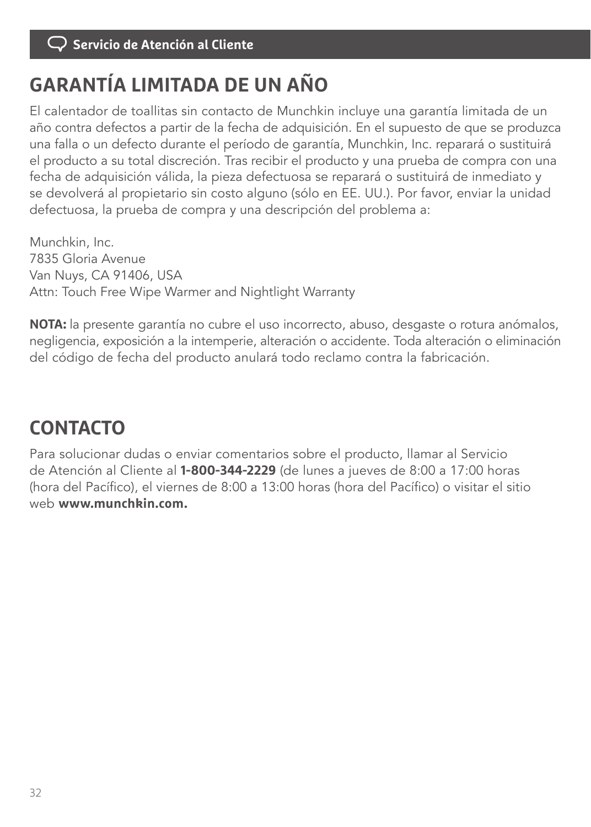# **GARANTÍA LIMITADA DE UN AÑO**

El calentador de toallitas sin contacto de Munchkin incluye una garantía limitada de un año contra defectos a partir de la fecha de adquisición. En el supuesto de que se produzca una falla o un defecto durante el período de garantía, Munchkin, Inc. reparará o sustituirá el producto a su total discreción. Tras recibir el producto y una prueba de compra con una fecha de adquisición válida, la pieza defectuosa se reparará o sustituirá de inmediato y se devolverá al propietario sin costo alguno (sólo en EE. UU.). Por favor, enviar la unidad defectuosa, la prueba de compra y una descripción del problema a:

Munchkin, Inc. 7835 Gloria Avenue Van Nuys, CA 91406, USA Attn: Touch Free Wipe Warmer and Nightlight Warranty

**NOTA:** la presente garantía no cubre el uso incorrecto, abuso, desgaste o rotura anómalos, negligencia, exposición a la intemperie, alteración o accidente. Toda alteración o eliminación del código de fecha del producto anulará todo reclamo contra la fabricación.

# **CONTACTO**

Para solucionar dudas o enviar comentarios sobre el producto, llamar al Servicio de Atención al Cliente al **1-800-344-2229** (de lunes a jueves de 8:00 a 17:00 horas (hora del Pacífico), el viernes de 8:00 a 13:00 horas (hora del Pacífico) o visitar el sitio web **www.munchkin.com.**